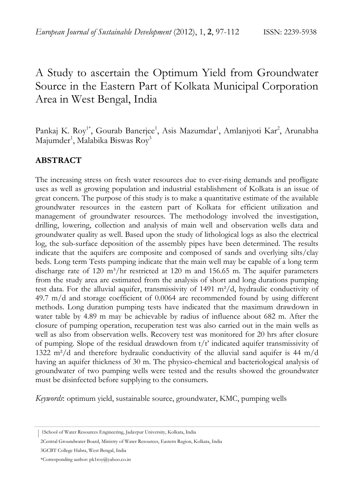# A Study to ascertain the Optimum Yield from Groundwater Source in the Eastern Part of Kolkata Municipal Corporation Area in West Bengal, India

Pankaj K. Roy<sup>1\*</sup>, Gourab Banerjee<sup>1</sup>, Asis Mazumdar<sup>1</sup>, Amlanjyoti Kar<sup>2</sup>, Arunabha Majumder<sup>1</sup>, Malabika Biswas Roy<sup>3</sup>

## **ABSTRACT**

The increasing stress on fresh water resources due to ever-rising demands and profligate uses as well as growing population and industrial establishment of Kolkata is an issue of great concern. The purpose of this study is to make a quantitative estimate of the available groundwater resources in the eastern part of Kolkata for efficient utilization and management of groundwater resources. The methodology involved the investigation, drilling, lowering, collection and analysis of main well and observation wells data and groundwater quality as well. Based upon the study of lithological logs as also the electrical log, the sub-surface deposition of the assembly pipes have been determined. The results indicate that the aquifers are composite and composed of sands and overlying silts/clay beds. Long term Tests pumping indicate that the main well may be capable of a long term discharge rate of  $120 \text{ m}^3/\text{hr}$  restricted at  $120 \text{ m}$  and  $156.65 \text{ m}$ . The aquifer parameters from the study area are estimated from the analysis of short and long durations pumping test data. For the alluvial aquifer, transmissivity of 1491  $m^2/d$ , hydraulic conductivity of 49.7 m/d and storage coefficient of 0.0064 are recommended found by using different methods. Long duration pumping tests have indicated that the maximum drawdown in water table by 4.89 m may be achievable by radius of influence about 682 m. After the closure of pumping operation, recuperation test was also carried out in the main wells as well as also from observation wells. Recovery test was monitored for 20 hrs after closure of pumping. Slope of the residual drawdown from  $t/t'$  indicated aquifer transmissivity of 1322 m²/d and therefore hydraulic conductivity of the alluvial sand aquifer is 44 m/d having an aquifer thickness of 30 m. The physico-chemical and bacteriological analysis of groundwater of two pumping wells were tested and the results showed the groundwater must be disinfected before supplying to the consumers.

*Keywords*: optimum yield, sustainable source, groundwater, KMC, pumping wells

 <sup>|</sup> 1School of Water Resources Engineering, Jadavpur University, Kolkata, India

 <sup>2</sup>Central Groundwater Board, Ministry of Water Resources, Eastern Region, Kolkata, India

 <sup>3</sup>GCBT College Habra, West Bengal, India

 <sup>\*</sup>Corresponding author: pk1roy@yahoo.co.in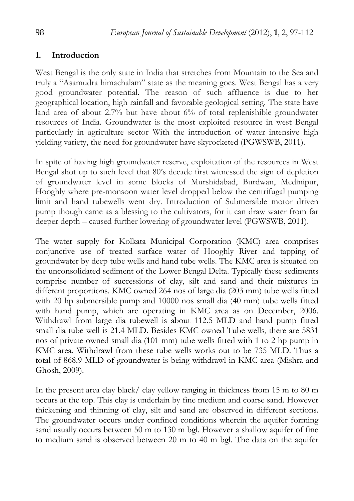### **1. Introduction**

West Bengal is the only state in India that stretches from Mountain to the Sea and truly a "Asamudra himachalam" state as the meaning goes. West Bengal has a very good groundwater potential. The reason of such affluence is due to her geographical location, high rainfall and favorable geological setting. The state have land area of about 2.7% but have about 6% of total replenishible groundwater resources of India. Groundwater is the most exploited resource in west Bengal particularly in agriculture sector With the introduction of water intensive high yielding variety, the need for groundwater have skyrocketed (PGWSWB, 2011).

In spite of having high groundwater reserve, exploitation of the resources in West Bengal shot up to such level that 80's decade first witnessed the sign of depletion of groundwater level in some blocks of Murshidabad, Burdwan, Medinipur, Hooghly where pre-monsoon water level dropped below the centrifugal pumping limit and hand tubewells went dry. Introduction of Submersible motor driven pump though came as a blessing to the cultivators, for it can draw water from far deeper depth – caused further lowering of groundwater level (PGWSWB, 2011).

The water supply for Kolkata Municipal Corporation (KMC) area comprises conjunctive use of treated surface water of Hooghly River and tapping of groundwater by deep tube wells and hand tube wells. The KMC area is situated on the unconsolidated sediment of the Lower Bengal Delta. Typically these sediments comprise number of successions of clay, silt and sand and their mixtures in different proportions. KMC owned 264 nos of large dia (203 mm) tube wells fitted with 20 hp submersible pump and 10000 nos small dia (40 mm) tube wells fitted with hand pump, which are operating in KMC area as on December, 2006. Withdrawl from large dia tubewell is about 112.5 MLD and hand pump fitted small dia tube well is 21.4 MLD. Besides KMC owned Tube wells, there are 5831 nos of private owned small dia (101 mm) tube wells fitted with 1 to 2 hp pump in KMC area. Withdrawl from these tube wells works out to be 735 MLD. Thus a total of 868.9 MLD of groundwater is being withdrawl in KMC area (Mishra and Ghosh, 2009).

In the present area clay black/ clay yellow ranging in thickness from 15 m to 80 m occurs at the top. This clay is underlain by fine medium and coarse sand. However thickening and thinning of clay, silt and sand are observed in different sections. The groundwater occurs under confined conditions wherein the aquifer forming sand usually occurs between 50 m to 130 m bgl. However a shallow aquifer of fine to medium sand is observed between 20 m to 40 m bgl. The data on the aquifer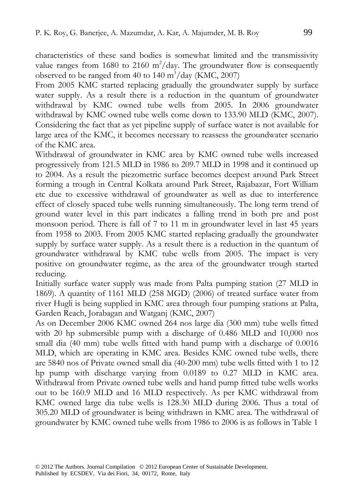characteristics of these sand bodies is somewhat limited and the transmissivity value ranges from 1680 to 2160  $m^2$ /day. The groundwater flow is consequently observed to be ranged from 40 to 140  $\text{m}^3/\text{day}$  (KMC, 2007)

From 2005 KMC started replacing gradually the groundwater supply by surface water supply. As a result there is a reduction in the quantum of groundwater withdrawal by KMC owned tube wells from 2005. In 2006 groundwater withdrawal by KMC owned tube wells come down to 133.90 MLD (KMC, 2007). Considering the fact that as yet pipeline supply of surface water is not available for large area of the KMC, it becomes necessary to reassess the groundwater scenario of the KMC area.

Withdrawal of groundwater in KMC area by KMC owned tube wells increased progressively from 121.5 MLD in 1986 to 209.7 MLD in 1998 and it continued up to 2004. As a result the piezometric surface becomes deepest around Park Street forming a trough in Central Kolkata around Park Street, Rajabazar, Fort William etc due to excessive withdrawal of groundwater as well as due to interference effect of closely spaced tube wells running simultaneously. The long term trend of ground water level in this part indicates a falling trend in both pre and post monsoon period. There is fall of 7 to 11 m in groundwater level in last 45 years from 1958 to 2003. From 2005 KMC started replacing gradually the groundwater supply by surface water supply. As a result there is a reduction in the quantum of groundwater withdrawal by KMC tube wells from 2005. The impact is very positive on groundwater regime, as the area of the groundwater trough started reducing.

Initially surface water supply was made from Palta pumping station (27 MLD in 1869). A quantity of 1161 MLD (258 MGD) (2006) of treated surface water from river Hugli is being supplied in KMC area through four pumping stations at Palta, Garden Reach, Jorabagan and Watganj (KMC, 2007)

As on December 2006 KMC owned 264 nos large dia (300 mm) tube wells fitted with 20 hp submersible pump with a discharge of 0.486 MLD and 10,000 nos small dia (40 mm) tube wells fitted with hand pump with a discharge of 0.0016 MLD, which are operating in KMC area. Besides KMC owned tube wells, there are 5840 nos of Private owned small dia (40-200 mm) tube wells fitted with 1 to 12 hp pump with discharge varying from 0.0189 to 0.27 MLD in KMC area. Withdrawal from Private owned tube wells and hand pump fitted tube wells works out to be 160.9 MLD and 16 MLD respectively. As per KMC withdrawal from KMC owned large dia tube wells is 128.30 MLD during 2006. Thus a total of 305.20 MLD of groundwater is being withdrawn in KMC area. The withdrawal of groundwater by KMC owned tube wells from 1986 to 2006 is as follows in Table 1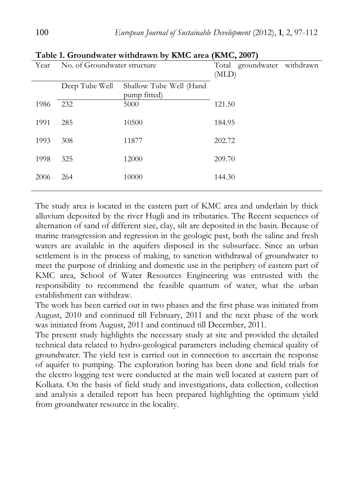|      |                              |                                         | ╯                                       |  |
|------|------------------------------|-----------------------------------------|-----------------------------------------|--|
| Year | No. of Groundwater structure |                                         | groundwater withdrawn<br>Total<br>(MLD) |  |
|      | Deep Tube Well               | Shallow Tube Well (Hand<br>pump fitted) |                                         |  |
| 1986 | 232                          | 5000                                    | 121.50                                  |  |
| 1991 | 285                          | 10500                                   | 184.95                                  |  |
| 1993 | 308                          | 11877                                   | 202.72                                  |  |
| 1998 | 325                          | 12000                                   | 209.70                                  |  |
| 2006 | 264                          | 10000                                   | 144.30                                  |  |
|      |                              |                                         |                                         |  |

**Table 1. Groundwater withdrawn by KMC area (KMC, 2007)** 

The study area is located in the eastern part of KMC area and underlain by thick alluvium deposited by the river Hugli and its tributaries. The Recent sequences of alternation of sand of different size, clay, silt are deposited in the basin. Because of marine transgression and regression in the geologic past, both the saline and fresh waters are available in the aquifers disposed in the subsurface. Since an urban settlement is in the process of making, to sanction withdrawal of groundwater to meet the purpose of drinking and domestic use in the periphery of eastern part of KMC area, School of Water Resources Engineering was entrusted with the responsibility to recommend the feasible quantum of water, what the urban establishment can withdraw.

The work has been carried out in two phases and the first phase was initiated from August, 2010 and continued till February, 2011 and the next phase of the work was initiated from August, 2011 and continued till December, 2011.

The present study highlights the necessary study at site and provided the detailed technical data related to hydro-geological parameters including chemical quality of groundwater. The yield test is carried out in connection to ascertain the response of aquifer to pumping. The exploration boring has been done and field trials for the electro logging test were conducted at the main well located at eastern part of Kolkata. On the basis of field study and investigations, data collection, collection and analysis a detailed report has been prepared highlighting the optimum yield from groundwater resource in the locality.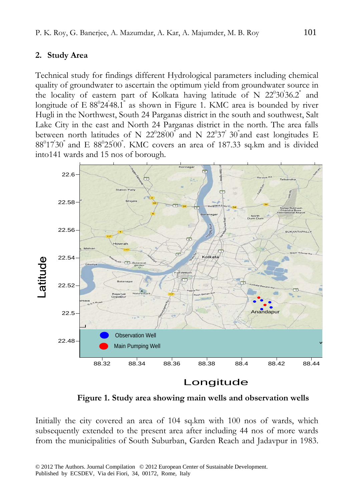#### 2. Study Area

Technical study for findings different Hydrological parameters including chemical quality of groundwater to ascertain the optimum yield from groundwater source in the locality of eastern part of Kolkata having latitude of N  $22^{\circ}30^{\prime}36.2^{\degree}$  and longitude of E 88°24'48.1" as shown in Figure 1. KMC area is bounded by river Hugli in the Northwest, South 24 Parganas district in the south and southwest, Salt Lake City in the east and North 24 Parganas district in the north. The area falls between north latitudes of N  $22^{\circ}28^{\prime}00^{\degree}$  and N  $22^{\circ}37^{\degree}30^{\degree}$  and east longitudes E  $88^{\circ}17'30'$  and E  $88^{\circ}25'00'$ . KMC covers an area of 187.33 sq.km and is divided into141 wards and 15 nos of borough.



 **Figure 1. Study area showing main wells and observation wells** 

Initially the city covered an area of 104 sq.km with 100 nos of wards, which subsequently extended to the present area after including 44 nos of more wards from the municipalities of South Suburban, Garden Reach and Jadavpur in 1983.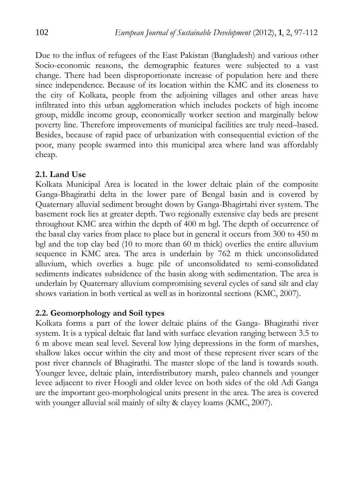Due to the influx of refugees of the East Pakistan (Bangladesh) and various other Socio-economic reasons, the demographic features were subjected to a vast change. There had been disproportionate increase of population here and there since independence. Because of its location within the KMC and its closeness to the city of Kolkata, people from the adjoining villages and other areas have infiltrated into this urban agglomeration which includes pockets of high income group, middle income group, economically worker section and marginally below poverty line. Therefore improvements of municipal facilities are truly need–based. Besides, because of rapid pace of urbanization with consequential eviction of the poor, many people swarmed into this municipal area where land was affordably cheap.

#### **2.1. Land Use**

Kolkata Municipal Area is located in the lower deltaic plain of the composite Ganga-Bhagirathi delta in the lower pare of Bengal basin and is covered by Quaternary alluvial sediment brought down by Ganga-Bhagirtahi river system. The basement rock lies at greater depth. Two regionally extensive clay beds are present throughout KMC area within the depth of 400 m bgl. The depth of occurrence of the basal clay varies from place to place but in general it occurs from 300 to 450 m bgl and the top clay bed (10 to more than 60 m thick) overlies the entire alluvium sequence in KMC area. The area is underlain by 762 m thick unconsolidated alluvium, which overlies a huge pile of unconsolidated to semi-consolidated sediments indicates subsidence of the basin along with sedimentation. The area is underlain by Quaternary alluvium compromising several cycles of sand silt and clay shows variation in both vertical as well as in horizontal sections (KMC, 2007).

#### **2.2. Geomorphology and Soil types**

Kolkata forms a part of the lower deltaic plains of the Ganga- Bhagirathi river system. It is a typical deltaic flat land with surface elevation ranging between 3.5 to 6 m above mean seal level. Several low lying depressions in the form of marshes, shallow lakes occur within the city and most of these represent river scars of the post river channels of Bhagirathi. The master slope of the land is towards south. Younger levee, deltaic plain, interdistributory marsh, paleo channels and younger levee adjacent to river Hoogli and older levee on both sides of the old Adi Ganga are the important geo-morphological units present in the area. The area is covered with younger alluvial soil mainly of silty & clayey loams (KMC, 2007).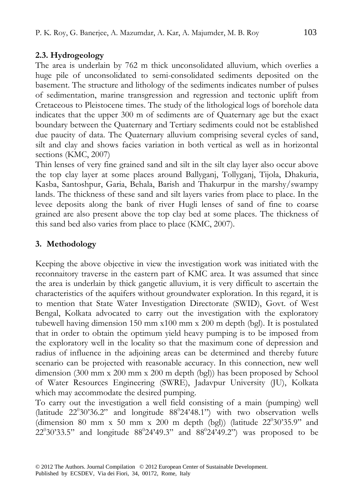## **2.3. Hydrogeology**

The area is underlain by 762 m thick unconsolidated alluvium, which overlies a huge pile of unconsolidated to semi-consolidated sediments deposited on the basement. The structure and lithology of the sediments indicates number of pulses of sedimentation, marine transgression and regression and tectonic uplift from Cretaceous to Pleistocene times. The study of the lithological logs of borehole data indicates that the upper 300 m of sediments are of Quaternary age but the exact boundary between the Quaternary and Tertiary sediments could not be established due paucity of data. The Quaternary alluvium comprising several cycles of sand, silt and clay and shows facies variation in both vertical as well as in horizontal sections (KMC, 2007)

Thin lenses of very fine grained sand and silt in the silt clay layer also occur above the top clay layer at some places around Ballyganj, Tollyganj, Tijola, Dhakuria, Kasba, Santoshpur, Garia, Behala, Barish and Thakurpur in the marshy/swampy lands. The thickness of these sand and silt layers varies from place to place. In the levee deposits along the bank of river Hugli lenses of sand of fine to coarse grained are also present above the top clay bed at some places. The thickness of this sand bed also varies from place to place (KMC, 2007).

# 3. Methodology

Keeping the above objective in view the investigation work was initiated with the reconnaitory traverse in the eastern part of KMC area. It was assumed that since the area is underlain by thick gangetic alluvium, it is very difficult to ascertain the characteristics of the aquifers without groundwater exploration. In this regard, it is to mention that State Water Investigation Directorate (SWID), Govt. of West Bengal, Kolkata advocated to carry out the investigation with the exploratory tubewell having dimension 150 mm x100 mm x 200 m depth (bgl). It is postulated that in order to obtain the optimum yield heavy pumping is to be imposed from the exploratory well in the locality so that the maximum cone of depression and radius of influence in the adjoining areas can be determined and thereby future scenario can be projected with reasonable accuracy. In this connection, new well dimension (300 mm x 200 mm x 200 m depth (bgl)) has been proposed by School of Water Resources Engineering (SWRE), Jadavpur University (JU), Kolkata which may accommodate the desired pumping.

To carry out the investigation a well field consisting of a main (pumping) well (latitude  $22^{\circ}30'36.2"$  and longitude  $88^{\circ}24'48.1"$ ) with two observation wells (dimension 80 mm x 50 mm x 200 m depth (bgl)) (latitude  $22^{\circ}30^{\circ}35.9"$  and  $22^{\circ}30'33.5"$  and longitude  $88^{\circ}24'49.3"$  and  $88^{\circ}24'49.2"$ ) was proposed to be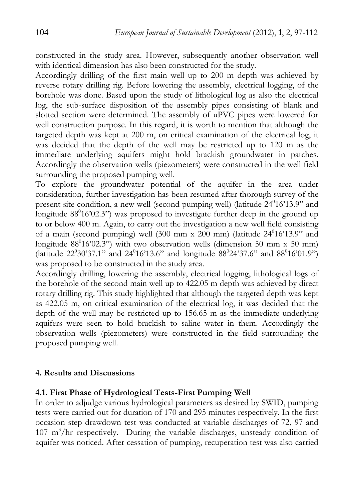constructed in the study area. However, subsequently another observation well with identical dimension has also been constructed for the study.

Accordingly drilling of the first main well up to 200 m depth was achieved by reverse rotary drilling rig. Before lowering the assembly, electrical logging, of the borehole was done. Based upon the study of lithological log as also the electrical log, the sub-surface disposition of the assembly pipes consisting of blank and slotted section were determined. The assembly of uPVC pipes were lowered for well construction purpose. In this regard, it is worth to mention that although the targeted depth was kept at 200 m, on critical examination of the electrical log, it was decided that the depth of the well may be restricted up to 120 m as the immediate underlying aquifers might hold brackish groundwater in patches. Accordingly the observation wells (piezometers) were constructed in the well field surrounding the proposed pumping well.

To explore the groundwater potential of the aquifer in the area under consideration, further investigation has been resumed after thorough survey of the present site condition, a new well (second pumping well) (latitude 24<sup>0</sup>16'13.9" and longitude 88<sup>0</sup>16'02.3") was proposed to investigate further deep in the ground up to or below 400 m. Again, to carry out the investigation a new well field consisting of a main (second pumping) well  $(300 \text{ mm} \times 200 \text{ mm})$  (latitude  $24^016^013.9$ " and longitude  $88^016'02.3"$ ) with two observation wells (dimension 50 mm x 50 mm) (latitude  $22^030'37.1''$  and  $24^016'13.6''$  and longitude  $88^024'37.6''$  and  $88^016'01.9''$ ) was proposed to be constructed in the study area.

Accordingly drilling, lowering the assembly, electrical logging, lithological logs of the borehole of the second main well up to 422.05 m depth was achieved by direct rotary drilling rig. This study highlighted that although the targeted depth was kept as 422.05 m, on critical examination of the electrical log, it was decided that the depth of the well may be restricted up to 156.65 m as the immediate underlying aquifers were seen to hold brackish to saline water in them. Accordingly the observation wells (piezometers) were constructed in the field surrounding the proposed pumping well.

#### **4. Results and Discussions**

#### **4.1. First Phase of Hydrological Tests-First Pumping Well**

In order to adjudge various hydrological parameters as desired by SWID, pumping tests were carried out for duration of 170 and 295 minutes respectively. In the first occasion step drawdown test was conducted at variable discharges of 72, 97 and 107 m3 /hr respectively. During the variable discharges, unsteady condition of aquifer was noticed. After cessation of pumping, recuperation test was also carried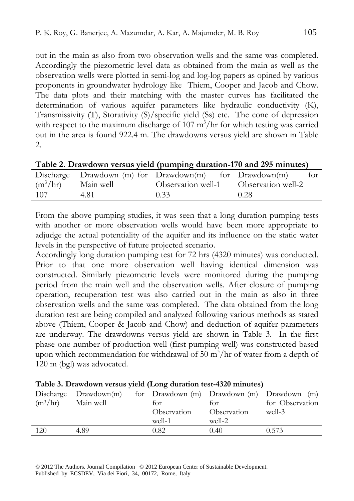out in the main as also from two observation wells and the same was completed. Accordingly the piezometric level data as obtained from the main as well as the observation wells were plotted in semi-log and log-log papers as opined by various proponents in groundwater hydrology like Thiem, Cooper and Jacob and Chow. The data plots and their matching with the master curves has facilitated the determination of various aquifer parameters like hydraulic conductivity (K), Transmissivity (T), Storativity (S)/specific yield (Ss) etc. The cone of depression with respect to the maximum discharge of  $107 \text{ m}^3/\text{hr}$  for which testing was carried out in the area is found 922.4 m. The drawdowns versus yield are shown in Table 2.

|                      |      | $\frac{1}{2}$ which is the vertice of the space of $\frac{1}{2}$ and $\frac{1}{2}$ and $\frac{1}{2}$ and $\frac{1}{2}$ |      |
|----------------------|------|------------------------------------------------------------------------------------------------------------------------|------|
|                      |      | Discharge Drawdown (m) for Drawdown(m) for Drawdown(m)                                                                 | for  |
| $(m^3/hr)$ Main well |      | Observation well-1 Observation well-2                                                                                  |      |
| 107                  | 4.81 | 0.33                                                                                                                   | 0.28 |

| Table 2. Drawdown versus yield (pumping duration-170 and 295 minutes) |  |  |  |
|-----------------------------------------------------------------------|--|--|--|
|-----------------------------------------------------------------------|--|--|--|

From the above pumping studies, it was seen that a long duration pumping tests with another or more observation wells would have been more appropriate to adjudge the actual potentiality of the aquifer and its influence on the static water levels in the perspective of future projected scenario.

Accordingly long duration pumping test for 72 hrs (4320 minutes) was conducted. Prior to that one more observation well having identical dimension was constructed. Similarly piezometric levels were monitored during the pumping period from the main well and the observation wells. After closure of pumping operation, recuperation test was also carried out in the main as also in three observation wells and the same was completed. The data obtained from the long duration test are being compiled and analyzed following various methods as stated above (Thiem, Cooper & Jacob and Chow) and deduction of aquifer parameters are underway. The drawdowns versus yield are shown in Table 3. In the first phase one number of production well (first pumping well) was constructed based upon which recommendation for withdrawal of  $50 \text{ m}^3/\text{hr}$  of water from a depth of 120 m (bgl) was advocated.

| Discharge  | Drawdown(m) | for Drawdown (m) Drawdown (m) Drawdown (m) |             |                 |
|------------|-------------|--------------------------------------------|-------------|-----------------|
| $(m^3/hr)$ | Main well   | tor                                        | for         | for Observation |
|            |             | Observation                                | Observation | well-3          |
|            |             | well-1                                     | well-2      |                 |
| 120        | 4.89        | 0.82                                       | 0.40        | 0.573           |

#### **Table 3. Drawdown versus yield (Long duration test-4320 minutes)**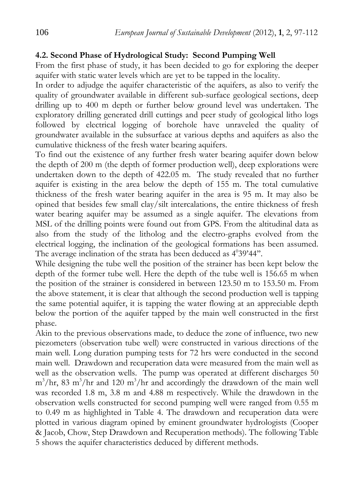## **4.2. Second Phase of Hydrological Study: Second Pumping Well**

From the first phase of study, it has been decided to go for exploring the deeper aquifer with static water levels which are yet to be tapped in the locality.

In order to adjudge the aquifer characteristic of the aquifers, as also to verify the quality of groundwater available in different sub-surface geological sections, deep drilling up to 400 m depth or further below ground level was undertaken. The exploratory drilling generated drill cuttings and peer study of geological litho logs followed by electrical logging of borehole have unraveled the quality of groundwater available in the subsurface at various depths and aquifers as also the cumulative thickness of the fresh water bearing aquifers.

To find out the existence of any further fresh water bearing aquifer down below the depth of 200 m (the depth of former production well), deep explorations were undertaken down to the depth of 422.05 m. The study revealed that no further aquifer is existing in the area below the depth of 155 m. The total cumulative thickness of the fresh water bearing aquifer in the area is 95 m. It may also be opined that besides few small clay/silt intercalations, the entire thickness of fresh water bearing aquifer may be assumed as a single aquifer. The elevations from MSL of the drilling points were found out from GPS. From the altitudinal data as also from the study of the litholog and the electro-graphs evolved from the electrical logging, the inclination of the geological formations has been assumed. The average inclination of the strata has been deduced as  $4^{\circ}39'44"$ .

While designing the tube well the position of the strainer has been kept below the depth of the former tube well. Here the depth of the tube well is 156.65 m when the position of the strainer is considered in between 123.50 m to 153.50 m. From the above statement, it is clear that although the second production well is tapping the same potential aquifer, it is tapping the water flowing at an appreciable depth below the portion of the aquifer tapped by the main well constructed in the first phase.

Akin to the previous observations made, to deduce the zone of influence, two new piezometers (observation tube well) were constructed in various directions of the main well. Long duration pumping tests for 72 hrs were conducted in the second main well. Drawdown and recuperation data were measured from the main well as well as the observation wells. The pump was operated at different discharges 50  $m^3$ /hr, 83 m<sup>3</sup>/hr and 120 m<sup>3</sup>/hr and accordingly the drawdown of the main well was recorded 1.8 m, 3.8 m and 4.88 m respectively. While the drawdown in the observation wells constructed for second pumping well were ranged from 0.55 m to 0.49 m as highlighted in Table 4. The drawdown and recuperation data were plotted in various diagram opined by eminent groundwater hydrologists (Cooper & Jacob, Chow, Step Drawdown and Recuperation methods). The following Table 5 shows the aquifer characteristics deduced by different methods.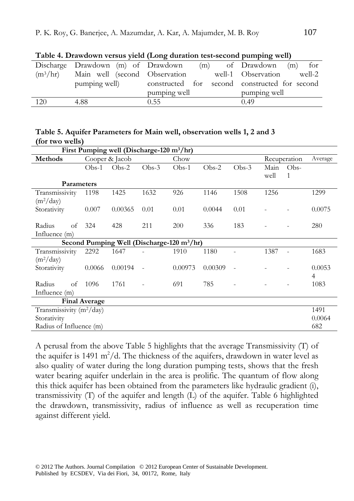|            | Discharge Drawdown (m) of Drawdown |                                               | (m) of Drawdown (m)<br>for |
|------------|------------------------------------|-----------------------------------------------|----------------------------|
| $(m^3/hr)$ | Main well (second Observation      |                                               | well-1 Observation well-2  |
|            | pumping well)                      | constructed for second constructed for second |                            |
|            |                                    | pumping well                                  | pumping well               |
| 120        | 4.88                               | 0.55                                          | 0.49                       |

**Table 4. Drawdown versus yield (Long duration test-second pumping well)**

#### **Table 5. Aquifer Parameters for Main well, observation wells 1, 2 and 3 (for two wells)**

| First Pumping well (Discharge-120 m <sup>3</sup> /hr) |         |                |         |                                                        |         |         |      |                          |                |
|-------------------------------------------------------|---------|----------------|---------|--------------------------------------------------------|---------|---------|------|--------------------------|----------------|
| <b>Methods</b>                                        |         | Cooper & Jacob |         | Chow                                                   |         |         |      | Recuperation             | Average        |
|                                                       | $Obs-1$ | $Obs-2$        | $Obs-3$ | $Obs-1$                                                | $Obs-2$ | $Obs-3$ | Main | Obs-                     |                |
|                                                       |         |                |         |                                                        |         |         | well | $\mathbf{1}$             |                |
| <b>Parameters</b>                                     |         |                |         |                                                        |         |         |      |                          |                |
| Transmissivity                                        | 1198    | 1425           | 1632    | 926                                                    | 1146    | 1508    | 1256 |                          | 1299           |
| $(m^2/day)$                                           |         |                |         |                                                        |         |         |      |                          |                |
| Storativity                                           | 0.007   | 0.00365        | 0.01    | 0.01                                                   | 0.0044  | 0.01    |      |                          | 0.0075         |
|                                                       |         |                |         |                                                        |         |         |      |                          |                |
| Radius<br>of                                          | 324     | 428            | 211     | 200                                                    | 336     | 183     |      |                          | 280            |
| Influence $(m)$                                       |         |                |         |                                                        |         |         |      |                          |                |
|                                                       |         |                |         | Second Pumping Well (Discharge-120 m <sup>3</sup> /hr) |         |         |      |                          |                |
| Transmissivity                                        | 2292    | 1647           |         | 1910                                                   | 1180    |         | 1387 | $\overline{\phantom{a}}$ | 1683           |
| $(m^2/day)$                                           |         |                |         |                                                        |         |         |      |                          |                |
| Storativity                                           | 0.0066  | 0.00194        |         | 0.00973                                                | 0.00309 |         |      |                          | 0.0053         |
|                                                       |         |                |         |                                                        |         |         |      |                          | $\overline{4}$ |
| Radius<br>of                                          | 1096    | 1761           |         | 691                                                    | 785     |         |      |                          | 1083           |
| Influence $(m)$                                       |         |                |         |                                                        |         |         |      |                          |                |
| <b>Final Average</b>                                  |         |                |         |                                                        |         |         |      |                          |                |
| Transmissivity $(m^2/day)$                            |         |                |         |                                                        |         | 1491    |      |                          |                |
| Storativity                                           |         |                |         |                                                        |         |         |      |                          | 0.0064         |
| Radius of Influence (m)                               |         |                |         |                                                        | 682     |         |      |                          |                |

A perusal from the above Table 5 highlights that the average Transmissivity (T) of the aquifer is 1491  $m^2/d$ . The thickness of the aquifers, drawdown in water level as also quality of water during the long duration pumping tests, shows that the fresh water bearing aquifer underlain in the area is prolific. The quantum of flow along this thick aquifer has been obtained from the parameters like hydraulic gradient (i), transmissivity (T) of the aquifer and length (L) of the aquifer. Table 6 highlighted the drawdown, transmissivity, radius of influence as well as recuperation time against different yield.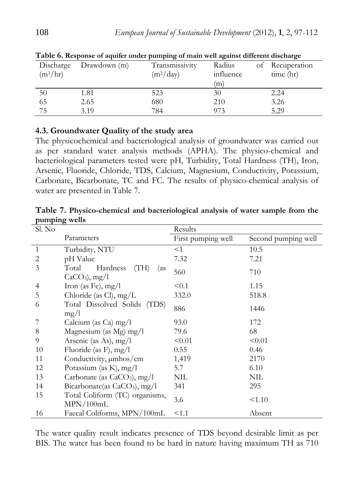| Twite of hesponse of aquiter under pumping of main wen against unterent discharge |              |                |           |    |              |  |  |
|-----------------------------------------------------------------------------------|--------------|----------------|-----------|----|--------------|--|--|
| Discharge                                                                         | Drawdown (m) | Transmissivity | Radius    | of | Recuperation |  |  |
| $(m^3/hr)$                                                                        |              | $(m^2/day)$    | influence |    | time (hr)    |  |  |
|                                                                                   |              |                | (m)       |    |              |  |  |
| 50                                                                                | 1.81         | 523            | 30        |    | 2.24         |  |  |
| 65                                                                                | 2.65         | 680            | 210       |    | 3.26         |  |  |
| 75                                                                                | 3.19         | 784            | 973       |    | 5.29         |  |  |

**Table 6. Response of aquifer under pumping of main well against different discharge** 

#### **4.3. Groundwater Quality of the study area**

The physicochemical and bacteriological analysis of groundwater was carried out as per standard water analysis methods (APHA). The physico-chemical and bacteriological parameters tested were pH, Turbidity, Total Hardness (TH), Iron, Arsenic, Fluoride, Chloride, TDS, Calcium, Magnesium, Conductivity, Potassium, Carbonate, Bicarbonate, TC and FC. The results of physico-chemical analysis of water are presented in Table 7.

**Table 7. Physico-chemical and bacteriological analysis of water sample from the pumping wells** 

| Sl. No         |                                                    | Results            |                     |
|----------------|----------------------------------------------------|--------------------|---------------------|
|                | Parameters                                         | First pumping well | Second pumping well |
| $\mathbf{1}$   | Turbidity, NTU                                     | $<$ 1              | 10.5                |
| $\mathbf{2}$   | pH Value                                           | 7.32               | 7.21                |
| 3              | Total<br>Hardness<br>(TH)<br>(as<br>$CaCO3$ , mg/l | 560                | 710                 |
| $\overline{4}$ | Iron (as Fe), $mg/l$                               | < 0.1              | 1.15                |
| 5              | Chloride (as Cl), $mg/L$                           | 332.0              | 518.8               |
| 6              | Total Dissolved Solids<br>(TDS)<br>mg/l            | 886                | 1446                |
|                | Calcium (as Ca) mg/l                               | 93.0               | 172                 |
| 8              | Magnesium (as Mg) mg/l                             | 79.6               | 68                  |
| 9              | Arsenic (as As), $mg/l$                            | < 0.01             | < 0.01              |
| 10             | Fluoride (as F), $mg/l$                            | 0.55               | 0.46                |
| 11             | Conductivity, $\mu$ mhos/cm                        | 1,419              | 2170                |
| 12             | Potassium (as K), mg/l                             | 5.7                | 6.10                |
| 13             | Carbonate (as $CaCO3$ ), mg/l                      | <b>NIL</b>         | <b>NIL</b>          |
| 14             | Bicarbonate(as $CaCO3$ ), mg/l                     | 341                | 295                 |
| 15             | Total Coliform (TC) organisms,<br>MPN/100mL        | 3.6                | < 1.10              |
| 16             | Faecal Coliforms, MPN/100mL                        | < 1.1              | Absent              |

The water quality result indicates presence of TDS beyond desirable limit as per BIS. The water has been found to be hard in nature having maximum TH as 710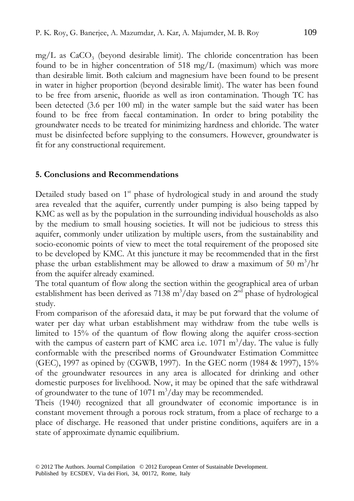$mg/L$  as  $CaCO<sub>3</sub>$  (beyond desirable limit). The chloride concentration has been found to be in higher concentration of 518 mg/L (maximum) which was more than desirable limit. Both calcium and magnesium have been found to be present in water in higher proportion (beyond desirable limit). The water has been found to be free from arsenic, fluoride as well as iron contamination. Though TC has been detected (3.6 per 100 ml) in the water sample but the said water has been found to be free from faecal contamination. In order to bring potability the groundwater needs to be treated for minimizing hardness and chloride. The water must be disinfected before supplying to the consumers. However, groundwater is fit for any constructional requirement.

#### **5. Conclusions and Recommendations**

Detailed study based on 1<sup>st</sup> phase of hydrological study in and around the study area revealed that the aquifer, currently under pumping is also being tapped by KMC as well as by the population in the surrounding individual households as also by the medium to small housing societies. It will not be judicious to stress this aquifer, commonly under utilization by multiple users, from the sustainability and socio-economic points of view to meet the total requirement of the proposed site to be developed by KMC. At this juncture it may be recommended that in the first phase the urban establishment may be allowed to draw a maximum of 50  $m^3/hr$ from the aquifer already examined.

The total quantum of flow along the section within the geographical area of urban establishment has been derived as  $7138 \text{ m}^3/\text{day}$  based on  $2^{\text{nd}}$  phase of hydrological study.

From comparison of the aforesaid data, it may be put forward that the volume of water per day what urban establishment may withdraw from the tube wells is limited to 15% of the quantum of flow flowing along the aquifer cross-section with the campus of eastern part of KMC area i.e.  $1071 \text{ m}^3/\text{day}$ . The value is fully conformable with the prescribed norms of Groundwater Estimation Committee (GEC), 1997 as opined by (CGWB, 1997). In the GEC norm (1984 & 1997), 15% of the groundwater resources in any area is allocated for drinking and other domestic purposes for livelihood. Now, it may be opined that the safe withdrawal of groundwater to the tune of 1071  $\text{m}^3/\text{day}$  may be recommended.

Theis (1940) recognized that all groundwater of economic importance is in constant movement through a porous rock stratum, from a place of recharge to a place of discharge. He reasoned that under pristine conditions, aquifers are in a state of approximate dynamic equilibrium.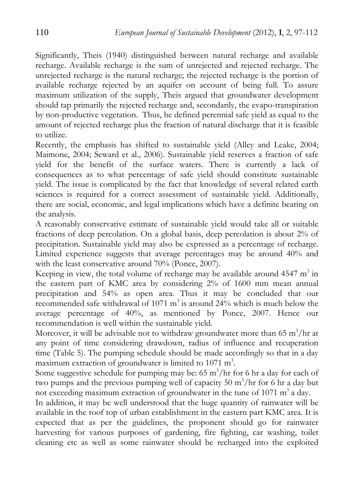Significantly, Theis (1940) distinguished between natural recharge and available recharge. Available recharge is the sum of unrejected and rejected recharge. The unrejected recharge is the natural recharge; the rejected recharge is the portion of available recharge rejected by an aquifer on account of being full. To assure maximum utilization of the supply, Theis argued that groundwater development should tap primarily the rejected recharge and, secondarily, the evapo-transpiration by non-productive vegetation. Thus, he defined perennial safe yield as equal to the amount of rejected recharge plus the fraction of natural discharge that it is feasible to utilize.

Recently, the emphasis has shifted to sustainable yield (Alley and Leake, 2004; Maimone, 2004; Seward et al., 2006). Sustainable yield reserves a fraction of safe yield for the benefit of the surface waters. There is currently a lack of consequences as to what percentage of safe yield should constitute sustainable yield. The issue is complicated by the fact that knowledge of several related earth sciences is required for a correct assessment of sustainable yield. Additionally, there are social, economic, and legal implications which have a definite bearing on the analysis.

A reasonably conservative estimate of sustainable yield would take all or suitable fractions of deep percolation. On a global basis, deep percolation is about 2% of precipitation. Sustainable yield may also be expressed as a percentage of recharge. Limited experience suggests that average percentages may be around 40% and with the least conservative around 70% (Ponce, 2007).

Keeping in view, the total volume of recharge may be available around  $4547 \text{ m}^3$  in the eastern part of KMC area by considering 2% of 1600 mm mean annual precipitation and 54% as open area. Thus it may be concluded that our recommended safe withdrawal of 1071  $m<sup>3</sup>$  is around 24% which is much below the average percentage of 40%, as mentioned by Ponce, 2007. Hence our recommendation is well within the sustainable yield.

Moreover, it will be advisable not to withdraw groundwater more than  $65 \text{ m}^3/\text{hr}$  at any point of time considering drawdown, radius of influence and recuperation time (Table 5). The pumping schedule should be made accordingly so that in a day maximum extraction of groundwater is limited to 1071 m<sup>3</sup>.

Some suggestive schedule for pumping may be:  $65 \text{ m}^3/\text{hr}$  for 6 hr a day for each of two pumps and the previous pumping well of capacity  $50 \text{ m}^3/\text{hr}$  for 6 hr a day but not exceeding maximum extraction of groundwater in the tune of 1071  $m^3$  a day.

In addition, it may be well understood that the huge quantity of rainwater will be available in the roof top of urban establishment in the eastern part KMC area. It is expected that as per the guidelines, the proponent should go for rainwater harvesting for various purposes of gardening, fire fighting, car washing, toilet cleaning etc as well as some rainwater should be recharged into the exploited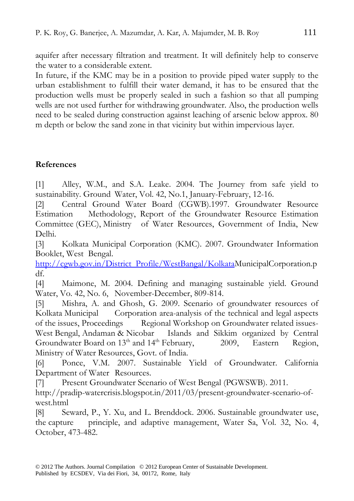aquifer after necessary filtration and treatment. It will definitely help to conserve the water to a considerable extent.

In future, if the KMC may be in a position to provide piped water supply to the urban establishment to fulfill their water demand, it has to be ensured that the production wells must be properly sealed in such a fashion so that all pumping wells are not used further for withdrawing groundwater. Also, the production wells need to be sealed during construction against leaching of arsenic below approx. 80 m depth or below the sand zone in that vicinity but within impervious layer.

# **References**

[1] Alley, W.M., and S.A. Leake. 2004. The Journey from safe yield to sustainability. Ground Water, Vol. 42, No.1, January-February, 12-16.

[2] Central Ground Water Board (CGWB).1997. Groundwater Resource Estimation Methodology, Report of the Groundwater Resource Estimation Committee (GEC), Ministry of Water Resources, Government of India, New Delhi.

[3] Kolkata Municipal Corporation (KMC). 2007. Groundwater Information Booklet, West Bengal.

http://cgwb.gov.in/District\_Profile/WestBangal/KolkataMunicipalCorporation.p df.

[4] Maimone, M. 2004. Defining and managing sustainable yield. Ground Water, Vo. 42, No. 6, November-December, 809-814.

[5] Mishra, A. and Ghosh, G. 2009. Scenario of groundwater resources of Kolkata Municipal Corporation area-analysis of the technical and legal aspects of the issues, Proceedings Regional Workshop on Groundwater related issues-West Bengal, Andaman & Nicobar Islands and Sikkim organized by Central Groundwater Board on  $13<sup>th</sup>$  and  $14<sup>th</sup>$  February, 2009, Eastern Region, Ministry of Water Resources, Govt. of India.

[6] Ponce, V.M. 2007. Sustainable Yield of Groundwater. California Department of Water Resources.

[7] Present Groundwater Scenario of West Bengal (PGWSWB). 2011.

http://pradip-watercrisis.blogspot.in/2011/03/present-groundwater-scenario-ofwest.html

[8] Seward, P., Y. Xu, and L. Brenddock. 2006. Sustainable groundwater use, the capture principle, and adaptive management, Water Sa, Vol. 32, No. 4, October, 473-482.